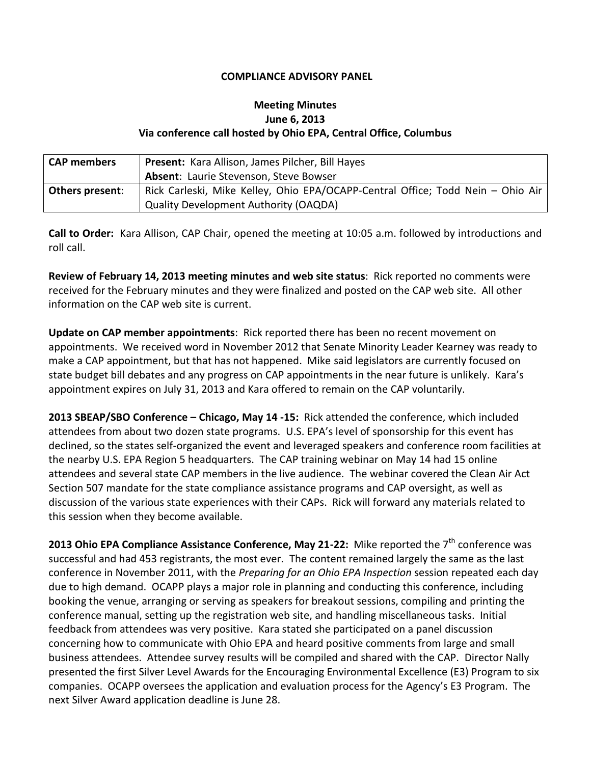## **COMPLIANCE ADVISORY PANEL**

## **Meeting Minutes June 6, 2013 Via conference call hosted by Ohio EPA, Central Office, Columbus**

| <b>CAP</b> members     | Present: Kara Allison, James Pilcher, Bill Hayes                                |
|------------------------|---------------------------------------------------------------------------------|
|                        | Absent: Laurie Stevenson, Steve Bowser                                          |
| <b>Others present:</b> | Rick Carleski, Mike Kelley, Ohio EPA/OCAPP-Central Office; Todd Nein - Ohio Air |
|                        | <b>Quality Development Authority (OAQDA)</b>                                    |

**Call to Order:** Kara Allison, CAP Chair, opened the meeting at 10:05 a.m. followed by introductions and roll call.

**Review of February 14, 2013 meeting minutes and web site status**: Rick reported no comments were received for the February minutes and they were finalized and posted on the CAP web site. All other information on the CAP web site is current.

**Update on CAP member appointments**: Rick reported there has been no recent movement on appointments. We received word in November 2012 that Senate Minority Leader Kearney was ready to make a CAP appointment, but that has not happened. Mike said legislators are currently focused on state budget bill debates and any progress on CAP appointments in the near future is unlikely. Kara's appointment expires on July 31, 2013 and Kara offered to remain on the CAP voluntarily.

**2013 SBEAP/SBO Conference – Chicago, May 14 -15:** Rick attended the conference, which included attendees from about two dozen state programs. U.S. EPA's level of sponsorship for this event has declined, so the states self-organized the event and leveraged speakers and conference room facilities at the nearby U.S. EPA Region 5 headquarters. The CAP training webinar on May 14 had 15 online attendees and several state CAP members in the live audience. The webinar covered the Clean Air Act Section 507 mandate for the state compliance assistance programs and CAP oversight, as well as discussion of the various state experiences with their CAPs. Rick will forward any materials related to this session when they become available.

**2013 Ohio EPA Compliance Assistance Conference, May 21-22:** Mike reported the 7<sup>th</sup> conference was successful and had 453 registrants, the most ever. The content remained largely the same as the last conference in November 2011, with the *Preparing for an Ohio EPA Inspection* session repeated each day due to high demand. OCAPP plays a major role in planning and conducting this conference, including booking the venue, arranging or serving as speakers for breakout sessions, compiling and printing the conference manual, setting up the registration web site, and handling miscellaneous tasks. Initial feedback from attendees was very positive. Kara stated she participated on a panel discussion concerning how to communicate with Ohio EPA and heard positive comments from large and small business attendees. Attendee survey results will be compiled and shared with the CAP. Director Nally presented the first Silver Level Awards for the Encouraging Environmental Excellence (E3) Program to six companies. OCAPP oversees the application and evaluation process for the Agency's E3 Program. The next Silver Award application deadline is June 28.